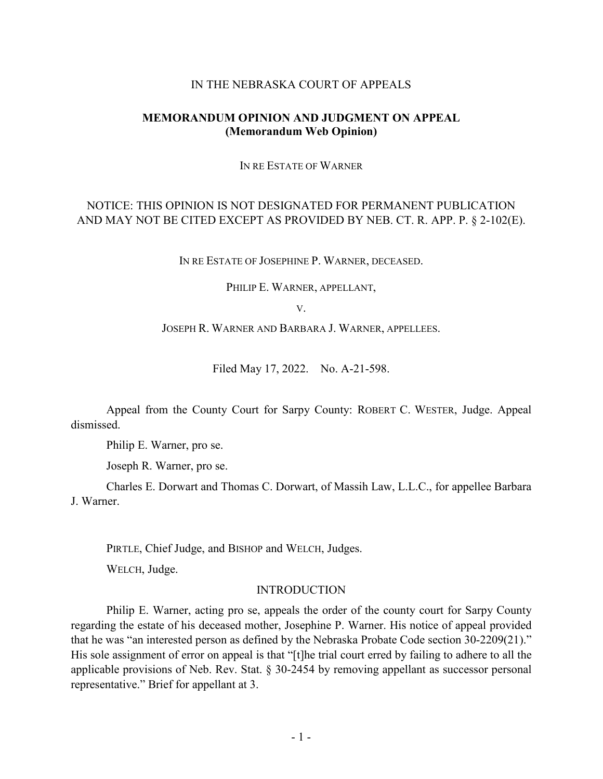#### IN THE NEBRASKA COURT OF APPEALS

### **MEMORANDUM OPINION AND JUDGMENT ON APPEAL (Memorandum Web Opinion)**

IN RE ESTATE OF WARNER

# NOTICE: THIS OPINION IS NOT DESIGNATED FOR PERMANENT PUBLICATION AND MAY NOT BE CITED EXCEPT AS PROVIDED BY NEB. CT. R. APP. P. § 2-102(E).

IN RE ESTATE OF JOSEPHINE P. WARNER, DECEASED.

PHILIP E. WARNER, APPELLANT,

V.

JOSEPH R. WARNER AND BARBARA J. WARNER, APPELLEES.

Filed May 17, 2022. No. A-21-598.

Appeal from the County Court for Sarpy County: ROBERT C. WESTER, Judge. Appeal dismissed.

Philip E. Warner, pro se.

Joseph R. Warner, pro se.

Charles E. Dorwart and Thomas C. Dorwart, of Massih Law, L.L.C., for appellee Barbara J. Warner.

PIRTLE, Chief Judge, and BISHOP and WELCH, Judges.

WELCH, Judge.

#### INTRODUCTION

Philip E. Warner, acting pro se, appeals the order of the county court for Sarpy County regarding the estate of his deceased mother, Josephine P. Warner. His notice of appeal provided that he was "an interested person as defined by the Nebraska Probate Code section 30-2209(21)." His sole assignment of error on appeal is that "[t]he trial court erred by failing to adhere to all the applicable provisions of Neb. Rev. Stat. § 30-2454 by removing appellant as successor personal representative." Brief for appellant at 3.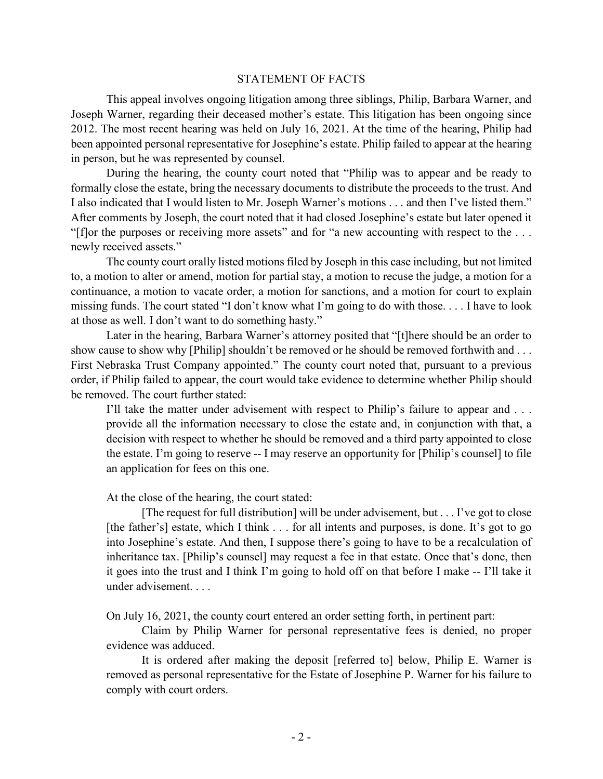#### STATEMENT OF FACTS

This appeal involves ongoing litigation among three siblings, Philip, Barbara Warner, and Joseph Warner, regarding their deceased mother's estate. This litigation has been ongoing since 2012. The most recent hearing was held on July 16, 2021. At the time of the hearing, Philip had been appointed personal representative for Josephine's estate. Philip failed to appear at the hearing in person, but he was represented by counsel.

During the hearing, the county court noted that "Philip was to appear and be ready to formally close the estate, bring the necessary documents to distribute the proceeds to the trust. And I also indicated that I would listen to Mr. Joseph Warner's motions . . . and then I've listed them." After comments by Joseph, the court noted that it had closed Josephine's estate but later opened it "[f]or the purposes or receiving more assets" and for "a new accounting with respect to the . . . newly received assets."

The county court orally listed motions filed by Joseph in this case including, but not limited to, a motion to alter or amend, motion for partial stay, a motion to recuse the judge, a motion for a continuance, a motion to vacate order, a motion for sanctions, and a motion for court to explain missing funds. The court stated "I don't know what I'm going to do with those. . . . I have to look at those as well. I don't want to do something hasty."

Later in the hearing, Barbara Warner's attorney posited that "[t]here should be an order to show cause to show why [Philip] shouldn't be removed or he should be removed forthwith and ... First Nebraska Trust Company appointed." The county court noted that, pursuant to a previous order, if Philip failed to appear, the court would take evidence to determine whether Philip should be removed. The court further stated:

I'll take the matter under advisement with respect to Philip's failure to appear and . . . provide all the information necessary to close the estate and, in conjunction with that, a decision with respect to whether he should be removed and a third party appointed to close the estate. I'm going to reserve -- I may reserve an opportunity for [Philip's counsel] to file an application for fees on this one.

At the close of the hearing, the court stated:

[The request for full distribution] will be under advisement, but . . . I've got to close [the father's] estate, which I think . . . for all intents and purposes, is done. It's got to go into Josephine's estate. And then, I suppose there's going to have to be a recalculation of inheritance tax. [Philip's counsel] may request a fee in that estate. Once that's done, then it goes into the trust and I think I'm going to hold off on that before I make -- I'll take it under advisement. . . .

On July 16, 2021, the county court entered an order setting forth, in pertinent part:

Claim by Philip Warner for personal representative fees is denied, no proper evidence was adduced.

It is ordered after making the deposit [referred to] below, Philip E. Warner is removed as personal representative for the Estate of Josephine P. Warner for his failure to comply with court orders.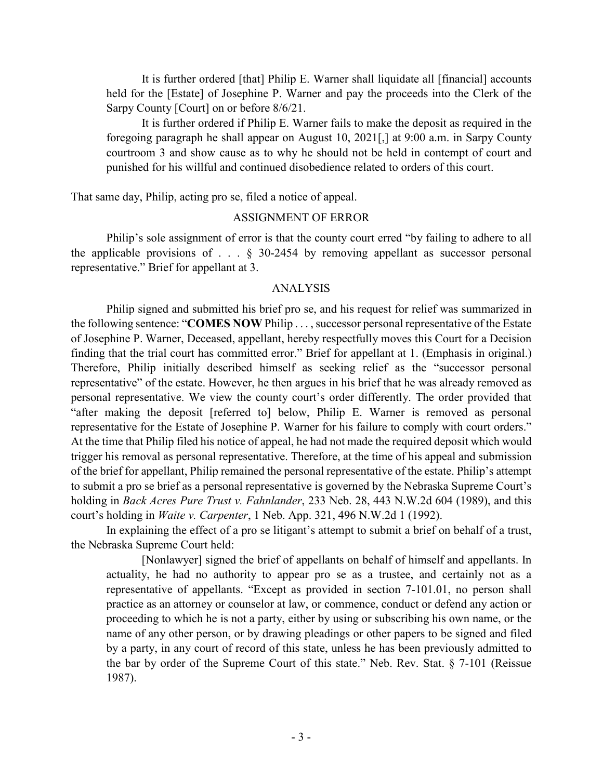It is further ordered [that] Philip E. Warner shall liquidate all [financial] accounts held for the [Estate] of Josephine P. Warner and pay the proceeds into the Clerk of the Sarpy County [Court] on or before 8/6/21.

It is further ordered if Philip E. Warner fails to make the deposit as required in the foregoing paragraph he shall appear on August 10, 2021[,] at 9:00 a.m. in Sarpy County courtroom 3 and show cause as to why he should not be held in contempt of court and punished for his willful and continued disobedience related to orders of this court.

That same day, Philip, acting pro se, filed a notice of appeal.

### ASSIGNMENT OF ERROR

Philip's sole assignment of error is that the county court erred "by failing to adhere to all the applicable provisions of  $\ldots$  § 30-2454 by removing appellant as successor personal representative." Brief for appellant at 3.

### ANALYSIS

Philip signed and submitted his brief pro se, and his request for relief was summarized in the following sentence: "**COMES NOW** Philip . . . , successor personal representative of the Estate of Josephine P. Warner, Deceased, appellant, hereby respectfully moves this Court for a Decision finding that the trial court has committed error." Brief for appellant at 1. (Emphasis in original.) Therefore, Philip initially described himself as seeking relief as the "successor personal representative" of the estate. However, he then argues in his brief that he was already removed as personal representative. We view the county court's order differently. The order provided that "after making the deposit [referred to] below, Philip E. Warner is removed as personal representative for the Estate of Josephine P. Warner for his failure to comply with court orders." At the time that Philip filed his notice of appeal, he had not made the required deposit which would trigger his removal as personal representative. Therefore, at the time of his appeal and submission of the brief for appellant, Philip remained the personal representative of the estate. Philip's attempt to submit a pro se brief as a personal representative is governed by the Nebraska Supreme Court's holding in *Back Acres Pure Trust v. Fahnlander*, 233 Neb. 28, 443 N.W.2d 604 (1989), and this court's holding in *Waite v. Carpenter*, 1 Neb. App. 321, 496 N.W.2d 1 (1992).

In explaining the effect of a pro se litigant's attempt to submit a brief on behalf of a trust, the Nebraska Supreme Court held:

[Nonlawyer] signed the brief of appellants on behalf of himself and appellants. In actuality, he had no authority to appear pro se as a trustee, and certainly not as a representative of appellants. "Except as provided in section 7-101.01, no person shall practice as an attorney or counselor at law, or commence, conduct or defend any action or proceeding to which he is not a party, either by using or subscribing his own name, or the name of any other person, or by drawing pleadings or other papers to be signed and filed by a party, in any court of record of this state, unless he has been previously admitted to the bar by order of the Supreme Court of this state." Neb. Rev. Stat. § 7-101 (Reissue 1987).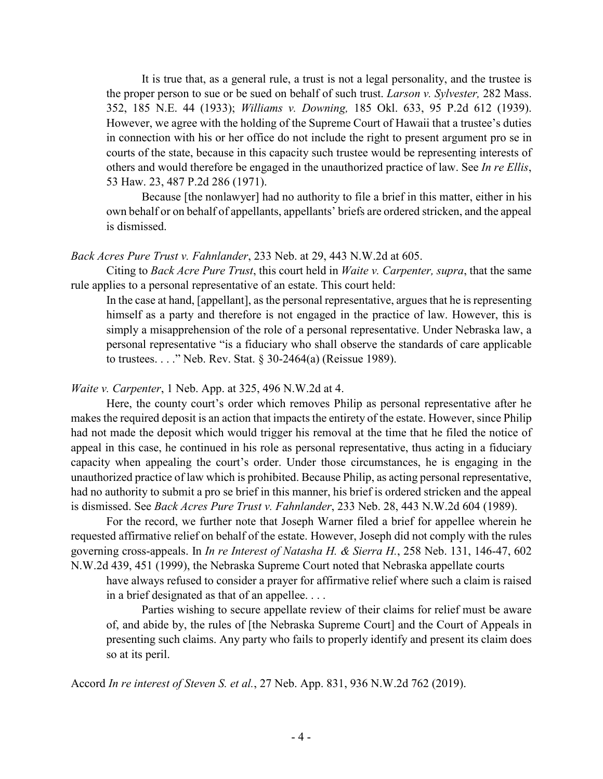It is true that, as a general rule, a trust is not a legal personality, and the trustee is the proper person to sue or be sued on behalf of such trust. *Larson v. Sylvester,* 282 Mass. 352, 185 N.E. 44 (1933); *Williams v. Downing,* 185 Okl. 633, 95 P.2d 612 (1939). However, we agree with the holding of the Supreme Court of Hawaii that a trustee's duties in connection with his or her office do not include the right to present argument pro se in courts of the state, because in this capacity such trustee would be representing interests of others and would therefore be engaged in the unauthorized practice of law. See *In re Ellis*, 53 Haw. 23, 487 P.2d 286 (1971).

Because [the nonlawyer] had no authority to file a brief in this matter, either in his own behalf or on behalf of appellants, appellants' briefs are ordered stricken, and the appeal is dismissed.

## *Back Acres Pure Trust v. Fahnlander*, 233 Neb. at 29, 443 N.W.2d at 605.

Citing to *Back Acre Pure Trust*, this court held in *Waite v. Carpenter, supra*, that the same rule applies to a personal representative of an estate. This court held:

In the case at hand, [appellant], as the personal representative, argues that he is representing himself as a party and therefore is not engaged in the practice of law. However, this is simply a misapprehension of the role of a personal representative. Under Nebraska law, a personal representative "is a fiduciary who shall observe the standards of care applicable to trustees. . . ." Neb. Rev. Stat. § 30-2464(a) (Reissue 1989).

## *Waite v. Carpenter*, 1 Neb. App. at 325, 496 N.W.2d at 4.

Here, the county court's order which removes Philip as personal representative after he makes the required deposit is an action that impacts the entirety of the estate. However, since Philip had not made the deposit which would trigger his removal at the time that he filed the notice of appeal in this case, he continued in his role as personal representative, thus acting in a fiduciary capacity when appealing the court's order. Under those circumstances, he is engaging in the unauthorized practice of law which is prohibited. Because Philip, as acting personal representative, had no authority to submit a pro se brief in this manner, his brief is ordered stricken and the appeal is dismissed. See *Back Acres Pure Trust v. Fahnlander*, 233 Neb. 28, 443 N.W.2d 604 (1989).

For the record, we further note that Joseph Warner filed a brief for appellee wherein he requested affirmative relief on behalf of the estate. However, Joseph did not comply with the rules governing cross-appeals. In *In re Interest of Natasha H. & Sierra H.*, 258 Neb. 131, 146-47, 602 N.W.2d 439, 451 (1999), the Nebraska Supreme Court noted that Nebraska appellate courts

have always refused to consider a prayer for affirmative relief where such a claim is raised in a brief designated as that of an appellee. . . .

Parties wishing to secure appellate review of their claims for relief must be aware of, and abide by, the rules of [the Nebraska Supreme Court] and the Court of Appeals in presenting such claims. Any party who fails to properly identify and present its claim does so at its peril.

Accord *In re interest of Steven S. et al.*, 27 Neb. App. 831, 936 N.W.2d 762 (2019).